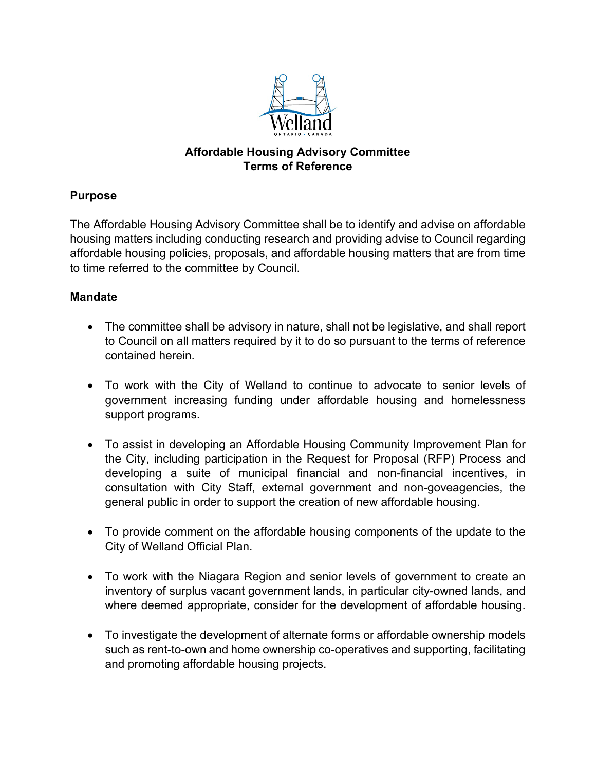

# **Affordable Housing Advisory Committee Terms of Reference**

# **Purpose**

The Affordable Housing Advisory Committee shall be to identify and advise on affordable housing matters including conducting research and providing advise to Council regarding affordable housing policies, proposals, and affordable housing matters that are from time to time referred to the committee by Council.

# **Mandate**

- The committee shall be advisory in nature, shall not be legislative, and shall report to Council on all matters required by it to do so pursuant to the terms of reference contained herein.
- To work with the City of Welland to continue to advocate to senior levels of government increasing funding under affordable housing and homelessness support programs.
- To assist in developing an Affordable Housing Community Improvement Plan for the City, including participation in the Request for Proposal (RFP) Process and developing a suite of municipal financial and non-financial incentives, in consultation with City Staff, external government and non-goveagencies, the general public in order to support the creation of new affordable housing.
- To provide comment on the affordable housing components of the update to the City of Welland Official Plan.
- To work with the Niagara Region and senior levels of government to create an inventory of surplus vacant government lands, in particular city-owned lands, and where deemed appropriate, consider for the development of affordable housing.
- To investigate the development of alternate forms or affordable ownership models such as rent-to-own and home ownership co-operatives and supporting, facilitating and promoting affordable housing projects.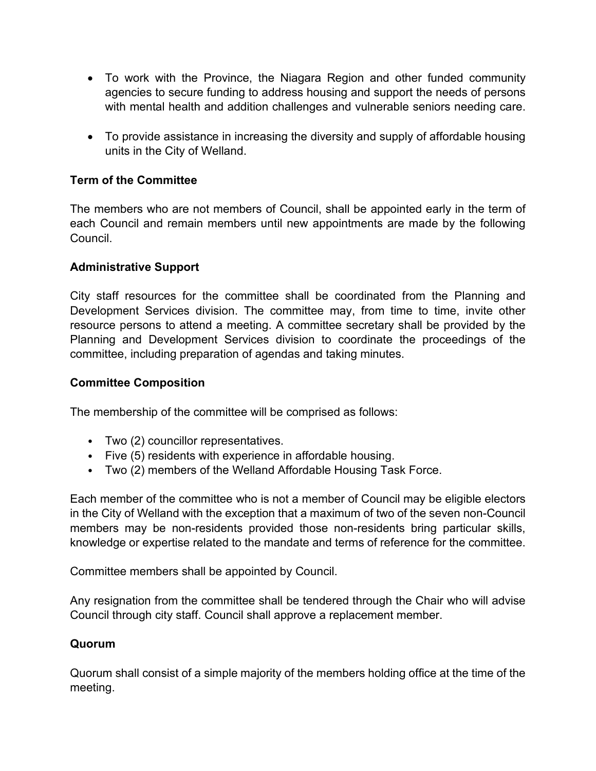- To work with the Province, the Niagara Region and other funded community agencies to secure funding to address housing and support the needs of persons with mental health and addition challenges and vulnerable seniors needing care.
- To provide assistance in increasing the diversity and supply of affordable housing units in the City of Welland.

## **Term of the Committee**

The members who are not members of Council, shall be appointed early in the term of each Council and remain members until new appointments are made by the following Council.

### **Administrative Support**

City staff resources for the committee shall be coordinated from the Planning and Development Services division. The committee may, from time to time, invite other resource persons to attend a meeting. A committee secretary shall be provided by the Planning and Development Services division to coordinate the proceedings of the committee, including preparation of agendas and taking minutes.

### **Committee Composition**

The membership of the committee will be comprised as follows:

- Two (2) councillor representatives.
- Five (5) residents with experience in affordable housing.
- Two (2) members of the Welland Affordable Housing Task Force.

Each member of the committee who is not a member of Council may be eligible electors in the City of Welland with the exception that a maximum of two of the seven non-Council members may be non-residents provided those non-residents bring particular skills, knowledge or expertise related to the mandate and terms of reference for the committee.

Committee members shall be appointed by Council.

Any resignation from the committee shall be tendered through the Chair who will advise Council through city staff. Council shall approve a replacement member.

### **Quorum**

Quorum shall consist of a simple majority of the members holding office at the time of the meeting.